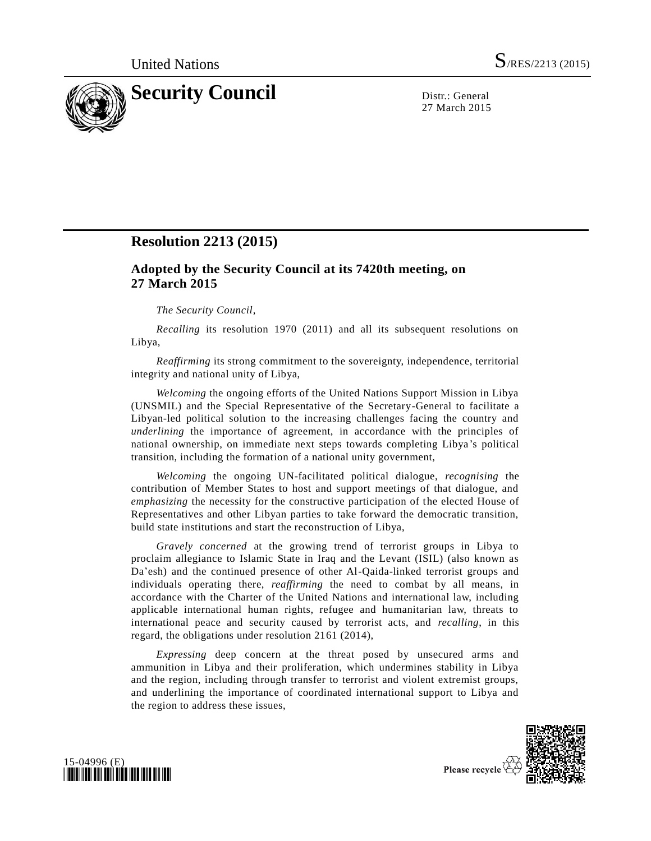

27 March 2015

# **Resolution 2213 (2015)**

# **Adopted by the Security Council at its 7420th meeting, on 27 March 2015**

# *The Security Council*,

*Recalling* its resolution 1970 (2011) and all its subsequent resolutions on Libya,

*Reaffirming* its strong commitment to the sovereignty, independence, territorial integrity and national unity of Libya,

*Welcoming* the ongoing efforts of the United Nations Support Mission in Libya (UNSMIL) and the Special Representative of the Secretary-General to facilitate a Libyan-led political solution to the increasing challenges facing the country and *underlining* the importance of agreement, in accordance with the principles of national ownership, on immediate next steps towards completing Libya 's political transition, including the formation of a national unity government,

*Welcoming* the ongoing UN-facilitated political dialogue, *recognising* the contribution of Member States to host and support meetings of that dialogue, and *emphasizing* the necessity for the constructive participation of the elected House of Representatives and other Libyan parties to take forward the democratic transition, build state institutions and start the reconstruction of Libya,

*Gravely concerned* at the growing trend of terrorist groups in Libya to proclaim allegiance to Islamic State in Iraq and the Levant (ISIL) (also known as Da'esh) and the continued presence of other Al-Qaida-linked terrorist groups and individuals operating there, *reaffirming* the need to combat by all means, in accordance with the Charter of the United Nations and international law, including applicable international human rights, refugee and humanitarian law, threats to international peace and security caused by terrorist acts, and *recalling*, in this regard, the obligations under resolution 2161 (2014),

*Expressing* deep concern at the threat posed by unsecured arms and ammunition in Libya and their proliferation, which undermines stability in Libya and the region, including through transfer to terrorist and violent extremist groups, and underlining the importance of coordinated international support to Libya and the region to address these issues,





Please recycle V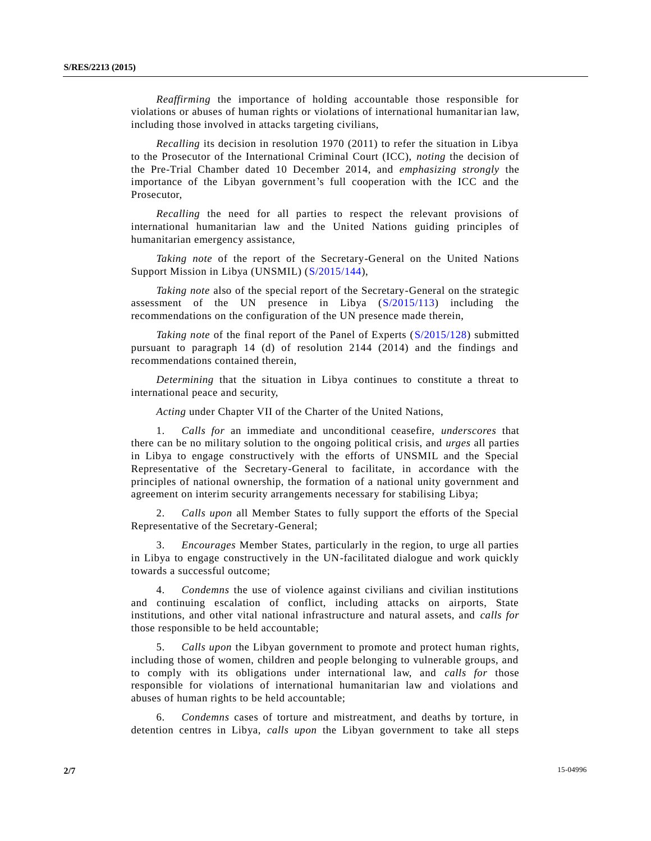*Reaffirming* the importance of holding accountable those responsible for violations or abuses of human rights or violations of international humanitarian law, including those involved in attacks targeting civilians,

*Recalling* its decision in resolution 1970 (2011) to refer the situation in Libya to the Prosecutor of the International Criminal Court (ICC), *noting* the decision of the Pre-Trial Chamber dated 10 December 2014, and *emphasizing strongly* the importance of the Libyan government's full cooperation with the ICC and the Prosecutor,

*Recalling* the need for all parties to respect the relevant provisions of international humanitarian law and the United Nations guiding principles of humanitarian emergency assistance,

*Taking note* of the report of the Secretary-General on the United Nations Support Mission in Libya (UNSMIL) [\(S/2015/144\)](http://undocs.org/S/2015/144),

*Taking note* also of the special report of the Secretary-General on the strategic assessment of the UN presence in Libya [\(S/2015/113\)](http://undocs.org/S/2015/113) including the recommendations on the configuration of the UN presence made therein,

*Taking note* of the final report of the Panel of Experts [\(S/2015/128\)](http://undocs.org/S/2015/128) submitted pursuant to paragraph 14 (d) of resolution 2144 (2014) and the findings and recommendations contained therein,

*Determining* that the situation in Libya continues to constitute a threat to international peace and security,

*Acting* under Chapter VII of the Charter of the United Nations,

1. *Calls for* an immediate and unconditional ceasefire, *underscores* that there can be no military solution to the ongoing political crisis, and *urges* all parties in Libya to engage constructively with the efforts of UNSMIL and the Special Representative of the Secretary-General to facilitate, in accordance with the principles of national ownership, the formation of a national unity government and agreement on interim security arrangements necessary for stabilising Libya;

2. *Calls upon* all Member States to fully support the efforts of the Special Representative of the Secretary-General;

3. *Encourages* Member States, particularly in the region, to urge all parties in Libya to engage constructively in the UN-facilitated dialogue and work quickly towards a successful outcome;

4. *Condemns* the use of violence against civilians and civilian institutions and continuing escalation of conflict, including attacks on airports, State institutions, and other vital national infrastructure and natural assets, and *calls for* those responsible to be held accountable;

5. *Calls upon* the Libyan government to promote and protect human rights, including those of women, children and people belonging to vulnerable groups, and to comply with its obligations under international law, and *calls for* those responsible for violations of international humanitarian law and violations and abuses of human rights to be held accountable;

6. *Condemns* cases of torture and mistreatment, and deaths by torture, in detention centres in Libya, *calls upon* the Libyan government to take all steps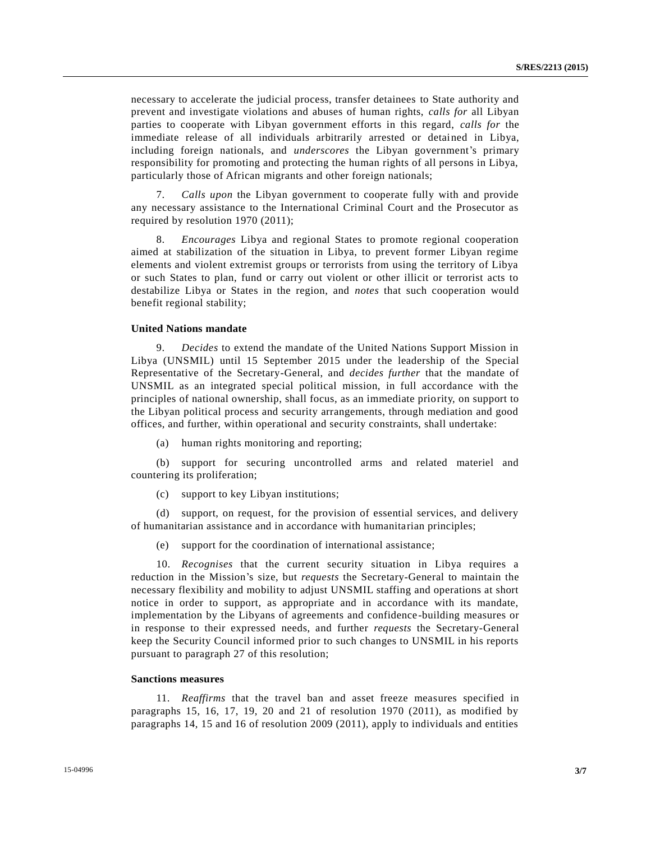necessary to accelerate the judicial process, transfer detainees to State authority and prevent and investigate violations and abuses of human rights, *calls for* all Libyan parties to cooperate with Libyan government efforts in this regard, *calls for* the immediate release of all individuals arbitrarily arrested or detained in Libya, including foreign nationals, and *underscores* the Libyan government's primary responsibility for promoting and protecting the human rights of all persons in Libya, particularly those of African migrants and other foreign nationals;

7. *Calls upon* the Libyan government to cooperate fully with and provide any necessary assistance to the International Criminal Court and the Prosecutor as required by resolution 1970 (2011);

8. *Encourages* Libya and regional States to promote regional cooperation aimed at stabilization of the situation in Libya, to prevent former Libyan regime elements and violent extremist groups or terrorists from using the territory of Libya or such States to plan, fund or carry out violent or other illicit or terrorist acts to destabilize Libya or States in the region, and *notes* that such cooperation would benefit regional stability;

#### **United Nations mandate**

9. *Decides* to extend the mandate of the United Nations Support Mission in Libya (UNSMIL) until 15 September 2015 under the leadership of the Special Representative of the Secretary-General, and *decides further* that the mandate of UNSMIL as an integrated special political mission, in full accordance with the principles of national ownership, shall focus, as an immediate priority, on support to the Libyan political process and security arrangements, through mediation and good offices, and further, within operational and security constraints, shall undertake:

(a) human rights monitoring and reporting;

(b) support for securing uncontrolled arms and related materiel and countering its proliferation;

(c) support to key Libyan institutions;

(d) support, on request, for the provision of essential services, and delivery of humanitarian assistance and in accordance with humanitarian principles;

(e) support for the coordination of international assistance;

10. *Recognises* that the current security situation in Libya requires a reduction in the Mission's size, but *requests* the Secretary-General to maintain the necessary flexibility and mobility to adjust UNSMIL staffing and operations at short notice in order to support, as appropriate and in accordance with its mandate, implementation by the Libyans of agreements and confidence-building measures or in response to their expressed needs, and further *requests* the Secretary-General keep the Security Council informed prior to such changes to UNSMIL in his reports pursuant to paragraph 27 of this resolution;

# **Sanctions measures**

11. *Reaffirms* that the travel ban and asset freeze measures specified in paragraphs 15, 16, 17, 19, 20 and 21 of resolution 1970 (2011), as modified by paragraphs 14, 15 and 16 of resolution 2009 (2011), apply to individuals and entities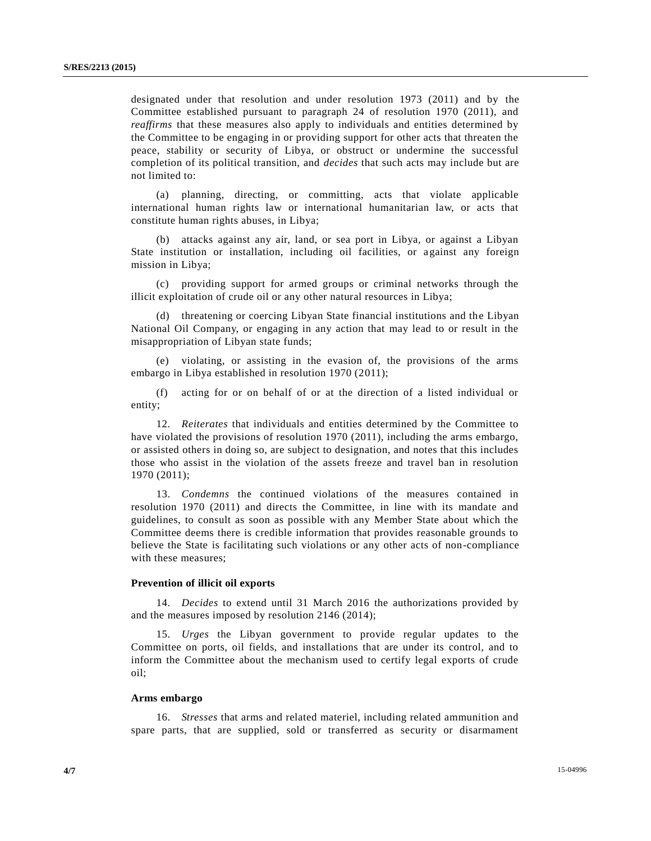designated under that resolution and under resolution 1973 (2011) and by the Committee established pursuant to paragraph 24 of resolution 1970 (2011), and *reaffirms* that these measures also apply to individuals and entities determined by the Committee to be engaging in or providing support for other acts that threaten the peace, stability or security of Libya, or obstruct or undermine the successful completion of its political transition, and *decides* that such acts may include but are not limited to:

(a) planning, directing, or committing, acts that violate applicable international human rights law or international humanitarian law, or acts that constitute human rights abuses, in Libya;

(b) attacks against any air, land, or sea port in Libya, or against a Libyan State institution or installation, including oil facilities, or against any foreign mission in Libya;

(c) providing support for armed groups or criminal networks through the illicit exploitation of crude oil or any other natural resources in Libya;

(d) threatening or coercing Libyan State financial institutions and the Libyan National Oil Company, or engaging in any action that may lead to or result in the misappropriation of Libyan state funds;

(e) violating, or assisting in the evasion of, the provisions of the arms embargo in Libya established in resolution 1970 (2011);

(f) acting for or on behalf of or at the direction of a listed individual or entity;

12. *Reiterates* that individuals and entities determined by the Committee to have violated the provisions of resolution 1970 (2011), including the arms embargo, or assisted others in doing so, are subject to designation, and notes that this includes those who assist in the violation of the assets freeze and travel ban in resolution 1970 (2011);

13. *Condemns* the continued violations of the measures contained in resolution 1970 (2011) and directs the Committee, in line with its mandate and guidelines, to consult as soon as possible with any Member State about which the Committee deems there is credible information that provides reasonable grounds to believe the State is facilitating such violations or any other acts of non-compliance with these measures;

# **Prevention of illicit oil exports**

14. *Decides* to extend until 31 March 2016 the authorizations provided by and the measures imposed by resolution 2146 (2014);

15. *Urges* the Libyan government to provide regular updates to the Committee on ports, oil fields, and installations that are under its control, and to inform the Committee about the mechanism used to certify legal exports of crude oil;

#### **Arms embargo**

16. *Stresses* that arms and related materiel, including related ammunition and spare parts, that are supplied, sold or transferred as security or disarmament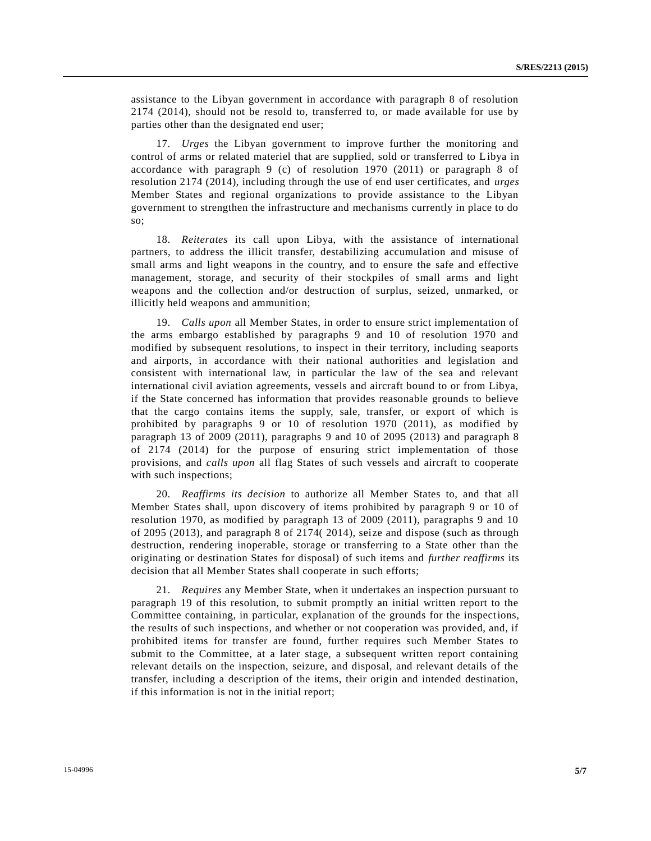assistance to the Libyan government in accordance with paragraph 8 of resolution 2174 (2014), should not be resold to, transferred to, or made available for use by parties other than the designated end user;

17. *Urges* the Libyan government to improve further the monitoring and control of arms or related materiel that are supplied, sold or transferred to Libya in accordance with paragraph 9 (c) of resolution 1970 (2011) or paragraph 8 of resolution 2174 (2014), including through the use of end user certificates, and *urges* Member States and regional organizations to provide assistance to the Libyan government to strengthen the infrastructure and mechanisms currently in place to do so;

18. *Reiterates* its call upon Libya, with the assistance of international partners, to address the illicit transfer, destabilizing accumulation and misuse of small arms and light weapons in the country, and to ensure the safe and effective management, storage, and security of their stockpiles of small arms and light weapons and the collection and/or destruction of surplus, seized, unmarked, or illicitly held weapons and ammunition;

19. *Calls upon* all Member States, in order to ensure strict implementation of the arms embargo established by paragraphs 9 and 10 of resolution 1970 and modified by subsequent resolutions, to inspect in their territory, including seaports and airports, in accordance with their national authorities and legislation and consistent with international law, in particular the law of the sea and relevant international civil aviation agreements, vessels and aircraft bound to or from Libya, if the State concerned has information that provides reasonable grounds to believe that the cargo contains items the supply, sale, transfer, or export of which is prohibited by paragraphs 9 or 10 of resolution 1970 (2011), as modified by paragraph 13 of 2009 (2011), paragraphs 9 and 10 of 2095 (2013) and paragraph 8 of 2174 (2014) for the purpose of ensuring strict implementation of those provisions, and *calls upon* all flag States of such vessels and aircraft to cooperate with such inspections;

20. *Reaffirms its decision* to authorize all Member States to, and that all Member States shall, upon discovery of items prohibited by paragraph 9 or 10 of resolution 1970, as modified by paragraph 13 of 2009 (2011), paragraphs 9 and 10 of 2095 (2013), and paragraph 8 of 2174( 2014), seize and dispose (such as through destruction, rendering inoperable, storage or transferring to a State other than the originating or destination States for disposal) of such items and *further reaffirms* its decision that all Member States shall cooperate in such efforts;

21. *Requires* any Member State, when it undertakes an inspection pursuant to paragraph 19 of this resolution, to submit promptly an initial written report to the Committee containing, in particular, explanation of the grounds for the inspections, the results of such inspections, and whether or not cooperation was provided, and, if prohibited items for transfer are found, further requires such Member States to submit to the Committee, at a later stage, a subsequent written report containing relevant details on the inspection, seizure, and disposal, and relevant details of the transfer, including a description of the items, their origin and intended destination, if this information is not in the initial report;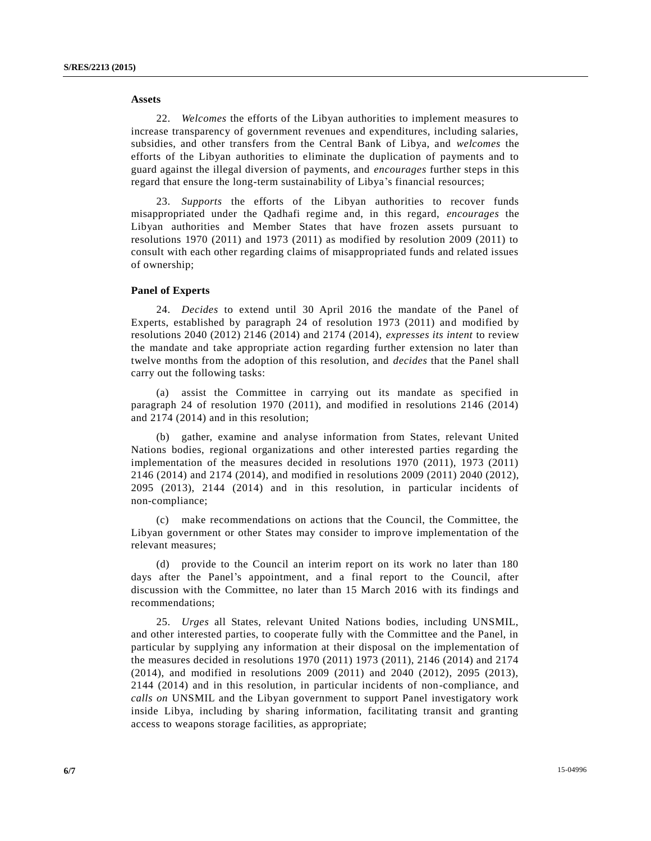#### **Assets**

22. *Welcomes* the efforts of the Libyan authorities to implement measures to increase transparency of government revenues and expenditures, including salaries, subsidies, and other transfers from the Central Bank of Libya, and *welcomes* the efforts of the Libyan authorities to eliminate the duplication of payments and to guard against the illegal diversion of payments, and *encourages* further steps in this regard that ensure the long-term sustainability of Libya's financial resources;

23. *Supports* the efforts of the Libyan authorities to recover funds misappropriated under the Qadhafi regime and, in this regard, *encourages* the Libyan authorities and Member States that have frozen assets pursuant to resolutions 1970 (2011) and 1973 (2011) as modified by resolution 2009 (2011) to consult with each other regarding claims of misappropriated funds and related issues of ownership;

#### **Panel of Experts**

24. *Decides* to extend until 30 April 2016 the mandate of the Panel of Experts, established by paragraph 24 of resolution 1973 (2011) and modified by resolutions 2040 (2012) 2146 (2014) and 2174 (2014), *expresses its intent* to review the mandate and take appropriate action regarding further extension no later than twelve months from the adoption of this resolution, and *decides* that the Panel shall carry out the following tasks:

(a) assist the Committee in carrying out its mandate as specified in paragraph 24 of resolution 1970 (2011), and modified in resolutions 2146 (2014) and 2174 (2014) and in this resolution;

(b) gather, examine and analyse information from States, relevant United Nations bodies, regional organizations and other interested parties regarding the implementation of the measures decided in resolutions 1970 (2011), 1973 (2011) 2146 (2014) and 2174 (2014), and modified in resolutions 2009 (2011) 2040 (2012), 2095 (2013), 2144 (2014) and in this resolution, in particular incidents of non-compliance;

(c) make recommendations on actions that the Council, the Committee, the Libyan government or other States may consider to improve implementation of the relevant measures;

(d) provide to the Council an interim report on its work no later than 180 days after the Panel's appointment, and a final report to the Council, after discussion with the Committee, no later than 15 March 2016 with its findings and recommendations;

25. *Urges* all States, relevant United Nations bodies, including UNSMIL, and other interested parties, to cooperate fully with the Committee and the Panel, in particular by supplying any information at their disposal on the implementation of the measures decided in resolutions 1970 (2011) 1973 (2011), 2146 (2014) and 2174 (2014), and modified in resolutions 2009 (2011) and 2040 (2012), 2095 (2013), 2144 (2014) and in this resolution, in particular incidents of non-compliance, and *calls on* UNSMIL and the Libyan government to support Panel investigatory work inside Libya, including by sharing information, facilitating transit and granting access to weapons storage facilities, as appropriate;